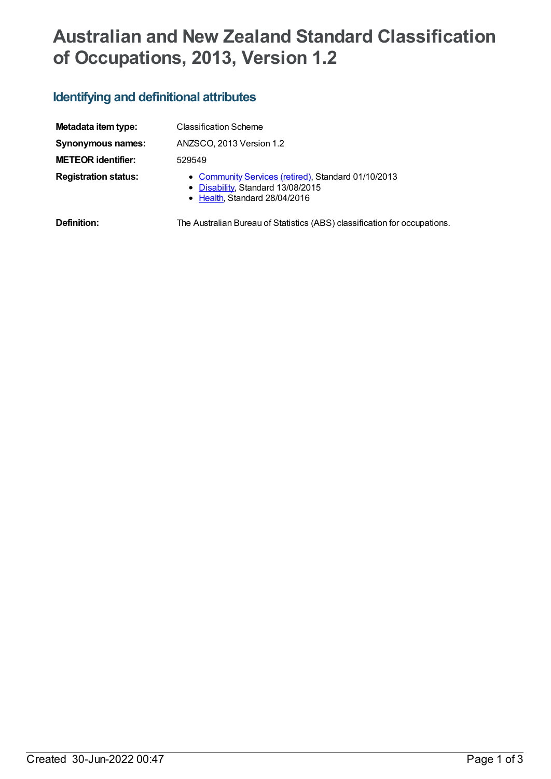# **Australian and New Zealand Standard Classification of Occupations, 2013, Version 1.2**

# **Identifying and definitional attributes**

| Metadata item type:         | <b>Classification Scheme</b>                                                                                              |
|-----------------------------|---------------------------------------------------------------------------------------------------------------------------|
| <b>Synonymous names:</b>    | ANZSCO, 2013 Version 1.2                                                                                                  |
| <b>METEOR identifier:</b>   | 529549                                                                                                                    |
| <b>Registration status:</b> | • Community Services (retired), Standard 01/10/2013<br>• Disability, Standard 13/08/2015<br>• Health, Standard 28/04/2016 |
| Definition:                 | The Australian Bureau of Statistics (ABS) classification for occupations.                                                 |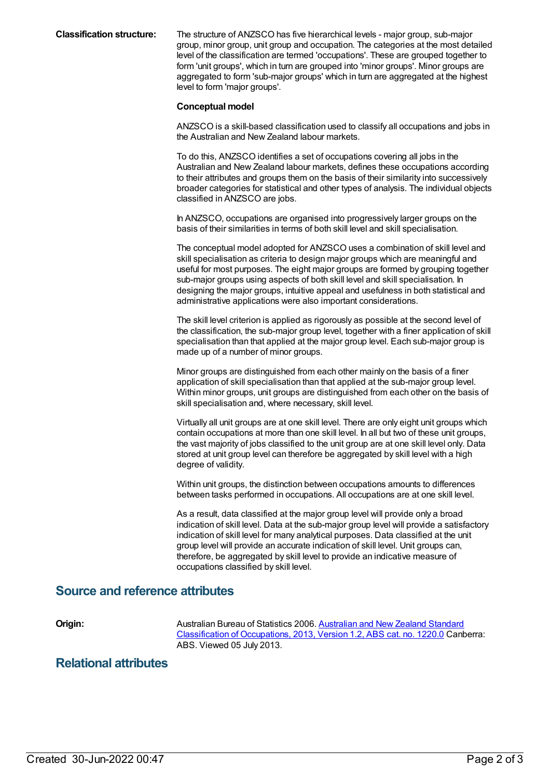**Classification structure:** The structure of ANZSCO has five hierarchical levels - major group, sub-major group, minor group, unit group and occupation. The categories at the most detailed level of the classification are termed 'occupations'. These are grouped together to form 'unit groups', which in turn are grouped into 'minor groups'. Minor groups are aggregated to form 'sub-major groups' which in turn are aggregated at the highest level to form 'major groups'.

#### **Conceptual model**

ANZSCO is a skill-based classification used to classify all occupations and jobs in the Australian and New Zealand labour markets.

To do this, ANZSCO identifies a set of occupations covering all jobs in the Australian and New Zealand labour markets, defines these occupations according to their attributes and groups them on the basis of their similarity into successively broader categories for statistical and other types of analysis. The individual objects classified in ANZSCO are jobs.

In ANZSCO, occupations are organised into progressively larger groups on the basis of their similarities in terms of both skill level and skill specialisation.

The conceptual model adopted for ANZSCO uses a combination of skill level and skill specialisation as criteria to design major groups which are meaningful and useful for most purposes. The eight major groups are formed by grouping together sub-major groups using aspects of both skill level and skill specialisation. In designing the major groups, intuitive appeal and usefulness in both statistical and administrative applications were also important considerations.

The skill level criterion is applied as rigorously as possible at the second level of the classification, the sub-major group level, together with a finer application of skill specialisation than that applied at the major group level. Each sub-major group is made up of a number of minor groups.

Minor groups are distinguished from each other mainly on the basis of a finer application of skill specialisation than that applied at the sub-major group level. Within minor groups, unit groups are distinguished from each other on the basis of skill specialisation and, where necessary, skill level.

Virtually all unit groups are at one skill level. There are only eight unit groups which contain occupations at more than one skill level. In all but two of these unit groups, the vast majority of jobs classified to the unit group are at one skill level only. Data stored at unit group level can therefore be aggregated by skill level with a high degree of validity.

Within unit groups, the distinction between occupations amounts to differences between tasks performed in occupations. All occupations are at one skill level.

As a result, data classified at the major group level will provide only a broad indication of skill level. Data at the sub-major group level will provide a satisfactory indication of skill level for many analytical purposes. Data classified at the unit group level will provide an accurate indication of skill level. Unit groups can, therefore, be aggregated by skill level to provide an indicative measure of occupations classified by skill level.

### **Source and reference attributes**

**Origin:** Australian Bureau of Statistics 2006. Australian and New Zealand Standard [Classification](http://www.abs.gov.au/ausstats/abs@.nsf/mf/1220.0) of Occupations, 2013, Version 1.2, ABS cat. no. 1220.0 Canberra: ABS. Viewed 05 July 2013.

## **Relational attributes**